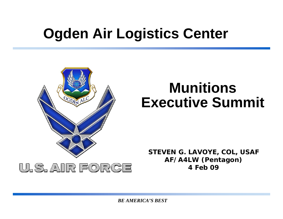# **Ogden Air Logistics Center**



## **Munitions Executive Summit**

**STEVEN G. LAVOYE, COL, USAF AF/A4LW (Pentagon) 4 Feb 09**

*BE AMERICA'S BEST*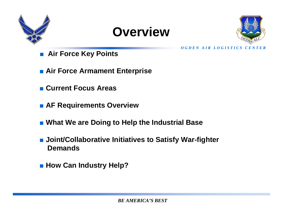





*O G D E N A I R L O G I S T I C S C E N T E R*

- **Air Force Key Points**
- Air Force Armament Enterprise
- Current Focus Areas
- **AF Requirements Overview**
- What We are Doing to Help the Industrial Base
- Joint/Collaborative Initiatives to Satisfy War-fighter **Demands**
- How Can Industry Help?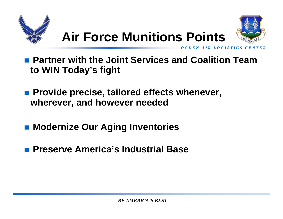





*O G D E N A IR L O G I S T I C S* 

 **Partner with the Joint Services and Coalition Team to WIN Today's fight**

- Provide precise, tailored effects whenever, **wherever, and however needed**
- **Modernize Our Aging Inventories**
- $\mathbb{R}^3$ **Preserve America's Industrial Base**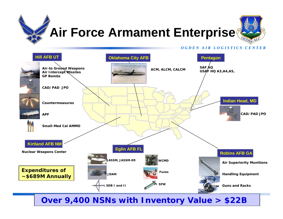# **Air Force Armament Enterprise**



#### *O G D E N A I R L O G I S T I C S C E N T E R*



#### *BE AMERICA'S BEST* **Over 9,400 NSNs with Inventory Value > \$22B**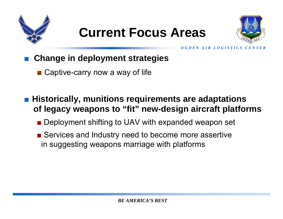

## **Current Focus Areas**



*O G D E N A IR LO G I S T I C S C E N T* 

■**Change in deployment strategies** 

- Captive-carry now a way of life
- Historically, munitions requirements are adaptations **of legacy weapons to "fit" new-design aircraft platforms**
	- Deployment shifting to UAV with expanded weapon set
	- Services and Industry need to become more assertive in suggesting weapons marriage with platforms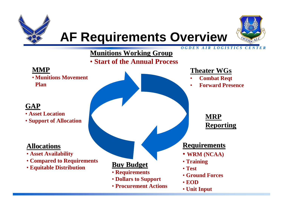





#### *O G D E N A I R L O G I S T I C S C E N T E R*

### **Munitions Working Group**

• **Start of the Annual Process**

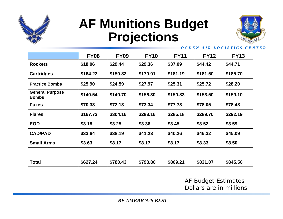

## **AF Munitions Budget Projections**



#### *O G D E N A I R L O G I S T I C S C E N T E R*

|                                        | <b>FY08</b> | <b>FY09</b> | <b>FY10</b> | <b>FY11</b> | <b>FY12</b> | <b>FY13</b> |
|----------------------------------------|-------------|-------------|-------------|-------------|-------------|-------------|
| <b>Rockets</b>                         | \$18.06     | \$29.44     | \$29.36     | \$37.09     | \$44.42     | \$44.71     |
| <b>Cartridges</b>                      | \$164.23    | \$150.82    | \$170.91    | \$181.19    | \$181.50    | \$185.70    |
| <b>Practice Bombs</b>                  | \$25.90     | \$24.59     | \$27.97     | \$25.31     | \$25.72     | \$28.20     |
| <b>General Purpose</b><br><b>Bombs</b> | \$140.54    | \$149.70    | \$156.30    | \$150.83    | \$153.50    | \$159.10    |
| <b>Fuzes</b>                           | \$70.33     | \$72.13     | \$73.34     | \$77.73     | \$78.05     | \$78.48     |
| <b>Flares</b>                          | \$167.73    | \$304.16    | \$283.16    | \$285.18    | \$289.70    | \$292.19    |
| <b>EOD</b>                             | \$3.18      | \$3.25      | \$3.36      | \$3.45      | \$3.52      | \$3.59      |
| <b>CAD/PAD</b>                         | \$33.64     | \$38.19     | \$41.23     | \$40.26     | \$46.32     | \$45.09     |
| <b>Small Arms</b>                      | \$3.63      | \$8.17      | \$8.17      | \$8.17      | \$8.33      | \$8.50      |
|                                        |             |             |             |             |             |             |
| <b>Total</b>                           | \$627.24    | \$780.43    | \$793.80    | \$809.21    | \$831.07    | \$845.56    |

#### AF Budget Estimates Dollars are in millions

*BE AMERICA'S BEST*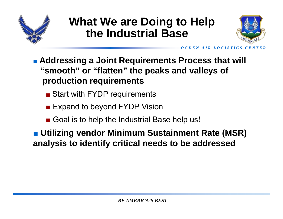

### **What We are Doing to Help the Industrial Base**



*O G D E N A I R L O G I S T I C S C E N T E R*

- **Addressing a Joint Requirements Process that will "smooth" or "flatten" the peaks and valleys of production requirements**
	- Start with FYDP requirements
	- Expand to beyond FYDP Vision
	- Goal is to help the Industrial Base help us!

■ Utilizing vendor Minimum Sustainment Rate (MSR) **analysis to identify critical needs to be addressed**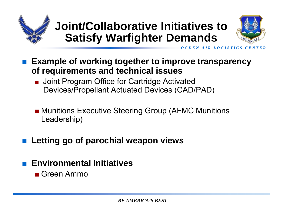



*O G D E N A I R L O G I S T I C S* 

- **Example of working together to improve transparency of requirements and technical issues**
	- ■ Joint Program Office for Cartridge Activated Devices/Propellant Actuated Devices (CAD/PAD)
	- Munitions Executive Steering Group (AFMC Munitions Leadership)
- ■**Letting go of parochial weapon views**
- Environmental Initiatives
	- Green Ammo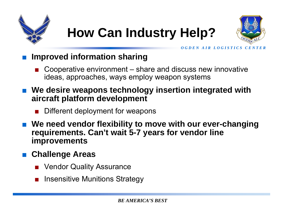





*O G D E N A IR LO G I S T I C S C E N T* 

### **Improved information sharing**

- Cooperative environment share and discuss new innovative ideas, approaches, ways employ weapon systems
- **We desire weapons technology insertion integrated with aircraft platform development**
	- ■Different deployment for weapons
- We need vendor flexibility to move with our ever-changing **requirements. Can't wait 5-7 years for vendor line improvements**

### **Challenge Areas**

- Vendor Quality Assurance
- Insensitive Munitions Strategy